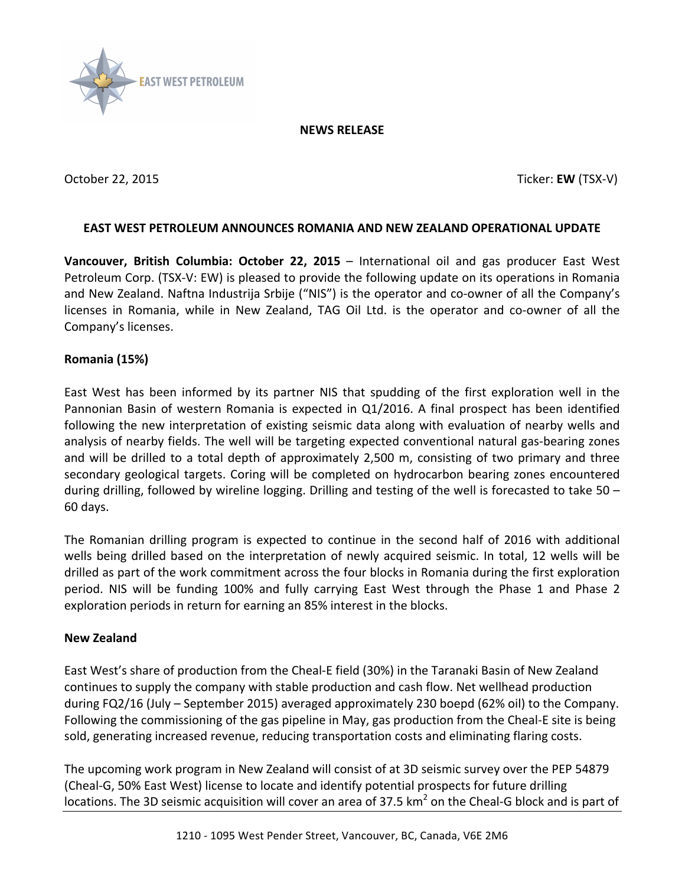

#### **NEWS RELEASE**

October 22, 2015 Ticker: **EW** (TSX-V)

# **EAST WEST PETROLEUM ANNOUNCES ROMANIA AND NEW ZEALAND OPERATIONAL UPDATE**

**Vancouver, British Columbia: October 22, 2015** – International oil and gas producer East West Petroleum Corp. (TSX-V: EW) is pleased to provide the following update on its operations in Romania and New Zealand. Naftna Industrija Srbije ("NIS") is the operator and co-owner of all the Company's licenses in Romania, while in New Zealand, TAG Oil Ltd. is the operator and co-owner of all the Company's licenses.

## **Romania (15%)**

East West has been informed by its partner NIS that spudding of the first exploration well in the Pannonian Basin of western Romania is expected in Q1/2016. A final prospect has been identified following the new interpretation of existing seismic data along with evaluation of nearby wells and analysis of nearby fields. The well will be targeting expected conventional natural gas-bearing zones and will be drilled to a total depth of approximately 2,500 m, consisting of two primary and three secondary geological targets. Coring will be completed on hydrocarbon bearing zones encountered during drilling, followed by wireline logging. Drilling and testing of the well is forecasted to take  $50 -$ 60 days. 

The Romanian drilling program is expected to continue in the second half of 2016 with additional wells being drilled based on the interpretation of newly acquired seismic. In total, 12 wells will be drilled as part of the work commitment across the four blocks in Romania during the first exploration period. NIS will be funding 100% and fully carrying East West through the Phase 1 and Phase 2 exploration periods in return for earning an 85% interest in the blocks.

## **New Zealand**

East West's share of production from the Cheal-E field (30%) in the Taranaki Basin of New Zealand continues to supply the company with stable production and cash flow. Net wellhead production during  $FQ2/16$  (July – September 2015) averaged approximately 230 boepd (62% oil) to the Company. Following the commissioning of the gas pipeline in May, gas production from the Cheal-E site is being sold, generating increased revenue, reducing transportation costs and eliminating flaring costs.

The upcoming work program in New Zealand will consist of at 3D seismic survey over the PEP 54879 (Cheal-G, 50% East West) license to locate and identify potential prospects for future drilling locations. The 3D seismic acquisition will cover an area of 37.5 km<sup>2</sup> on the Cheal-G block and is part of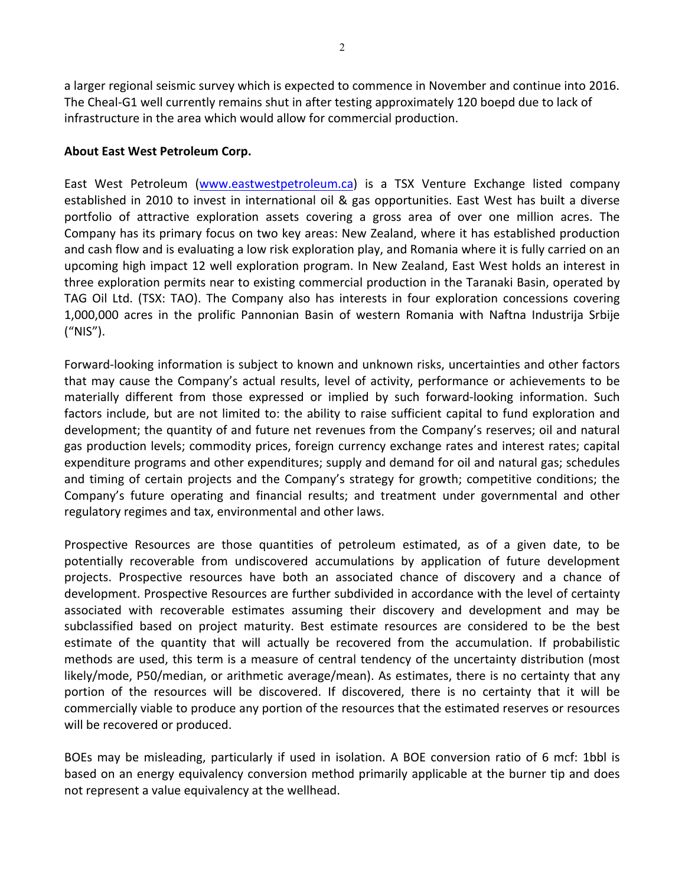a larger regional seismic survey which is expected to commence in November and continue into 2016. The Cheal-G1 well currently remains shut in after testing approximately 120 boepd due to lack of infrastructure in the area which would allow for commercial production.

#### **About East West Petroleum Corp.**

East West Petroleum (www.eastwestpetroleum.ca) is a TSX Venture Exchange listed company established in 2010 to invest in international oil & gas opportunities. East West has built a diverse portfolio of attractive exploration assets covering a gross area of over one million acres. The Company has its primary focus on two key areas: New Zealand, where it has established production and cash flow and is evaluating a low risk exploration play, and Romania where it is fully carried on an upcoming high impact 12 well exploration program. In New Zealand, East West holds an interest in three exploration permits near to existing commercial production in the Taranaki Basin, operated by TAG Oil Ltd. (TSX: TAO). The Company also has interests in four exploration concessions covering 1,000,000 acres in the prolific Pannonian Basin of western Romania with Naftna Industrija Srbije ("NIS").

Forward-looking information is subject to known and unknown risks, uncertainties and other factors that may cause the Company's actual results, level of activity, performance or achievements to be materially different from those expressed or implied by such forward-looking information. Such factors include, but are not limited to: the ability to raise sufficient capital to fund exploration and development; the quantity of and future net revenues from the Company's reserves; oil and natural gas production levels; commodity prices, foreign currency exchange rates and interest rates; capital expenditure programs and other expenditures; supply and demand for oil and natural gas; schedules and timing of certain projects and the Company's strategy for growth; competitive conditions; the Company's future operating and financial results; and treatment under governmental and other regulatory regimes and tax, environmental and other laws.

Prospective Resources are those quantities of petroleum estimated, as of a given date, to be potentially recoverable from undiscovered accumulations by application of future development projects. Prospective resources have both an associated chance of discovery and a chance of development. Prospective Resources are further subdivided in accordance with the level of certainty associated with recoverable estimates assuming their discovery and development and may be subclassified based on project maturity. Best estimate resources are considered to be the best estimate of the quantity that will actually be recovered from the accumulation. If probabilistic methods are used, this term is a measure of central tendency of the uncertainty distribution (most likely/mode, P50/median, or arithmetic average/mean). As estimates, there is no certainty that any portion of the resources will be discovered. If discovered, there is no certainty that it will be commercially viable to produce any portion of the resources that the estimated reserves or resources will be recovered or produced.

BOEs may be misleading, particularly if used in isolation. A BOE conversion ratio of 6 mcf: 1bbl is based on an energy equivalency conversion method primarily applicable at the burner tip and does not represent a value equivalency at the wellhead.